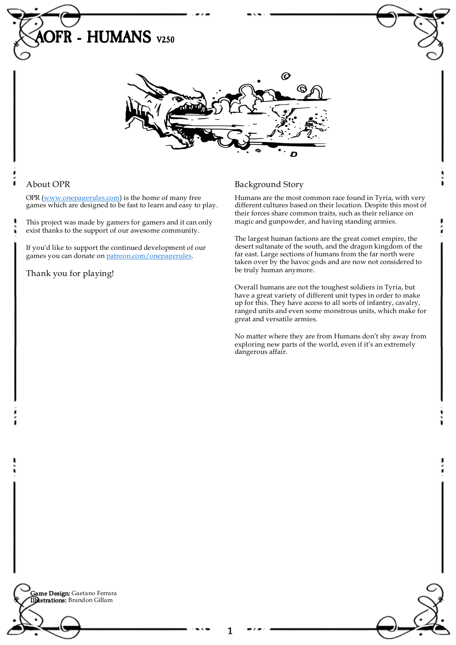

## About OPR

OPR [\(www.onepagerules.com](https://webapp.onepagerules.com/army-books/view/jZ02AVPLx_S48Mnb~6/https//www.onepagerules.com)) is the home of many free games which are designed to be fast to learn and easy to play.

This project was made by gamers for gamers and it can only exist thanks to the support of our awesome community.

If you'd like to support the continued development of our games you can donate on [patreon.com/onepagerules](https://www.patreon.com/onepagerules).

Thank you for playing!

## Background Story

Humans are the most common race found in Tyria, with very different cultures based on their location. Despite this most of their forces share common traits, such as their reliance on magic and gunpowder, and having standing armies.

The largest human factions are the great comet empire, the desert sultanate of the south, and the dragon kingdom of the far east. Large sections of humans from the far north were taken over by the havoc gods and are now not considered to be truly human anymore.

Overall humans are not the toughest soldiers in Tyria, but have a great variety of different unit types in order to make up for this. They have access to all sorts of infantry, cavalry, ranged units and even some monstrous units, which make for great and versatile armies.

No matter where they are from Humans don't shy away from exploring new parts of the world, even if it's an extremely dangerous affair.

**Game Design:** Gaetano Ferrara Illustrations: Brandon Gillam